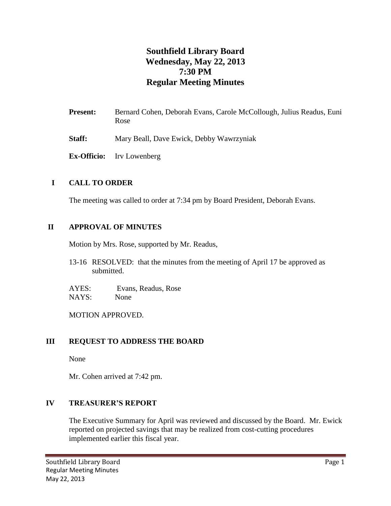# **Southfield Library Board Wednesday, May 22, 2013 7:30 PM Regular Meeting Minutes**

- Present: Bernard Cohen, Deborah Evans, Carole McCollough, Julius Readus, Euni Rose
- **Staff:** Mary Beall, Dave Ewick, Debby Wawrzyniak
- **Ex-Officio:** Irv Lowenberg

# **I CALL TO ORDER**

The meeting was called to order at 7:34 pm by Board President, Deborah Evans.

### **II APPROVAL OF MINUTES**

Motion by Mrs. Rose, supported by Mr. Readus,

13-16 RESOLVED: that the minutes from the meeting of April 17 be approved as submitted.

AYES: Evans, Readus, Rose NAYS: None

MOTION APPROVED.

### **III REQUEST TO ADDRESS THE BOARD**

None

Mr. Cohen arrived at 7:42 pm.

#### **IV TREASURER'S REPORT**

The Executive Summary for April was reviewed and discussed by the Board. Mr. Ewick reported on projected savings that may be realized from cost-cutting procedures implemented earlier this fiscal year.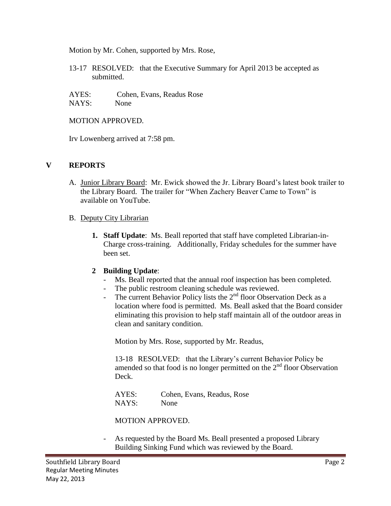Motion by Mr. Cohen, supported by Mrs. Rose,

13-17 RESOLVED: that the Executive Summary for April 2013 be accepted as submitted.

AYES: Cohen, Evans, Readus Rose NAYS: None

MOTION APPROVED.

Irv Lowenberg arrived at 7:58 pm.

### **V REPORTS**

- A. Junior Library Board: Mr. Ewick showed the Jr. Library Board's latest book trailer to the Library Board. The trailer for "When Zachery Beaver Came to Town" is available on YouTube.
- B. Deputy City Librarian
	- **1. Staff Update**: Ms. Beall reported that staff have completed Librarian-in-Charge cross-training. Additionally, Friday schedules for the summer have been set.

### **2 Building Update**:

- Ms. Beall reported that the annual roof inspection has been completed.
- The public restroom cleaning schedule was reviewed.
- The current Behavior Policy lists the  $2<sup>nd</sup>$  floor Observation Deck as a location where food is permitted. Ms. Beall asked that the Board consider eliminating this provision to help staff maintain all of the outdoor areas in clean and sanitary condition.

Motion by Mrs. Rose, supported by Mr. Readus,

13-18 RESOLVED: that the Library's current Behavior Policy be amended so that food is no longer permitted on the  $2<sup>nd</sup>$  floor Observation Deck.

AYES: Cohen, Evans, Readus, Rose NAYS: None

MOTION APPROVED.

As requested by the Board Ms. Beall presented a proposed Library Building Sinking Fund which was reviewed by the Board.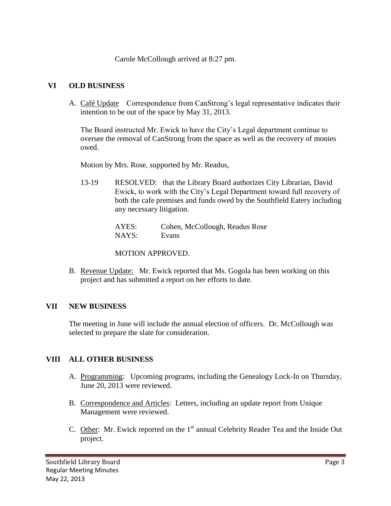Carole McCollough arrived at 8:27 pm.

# **VI OLD BUSINESS**

A. Café Update Correspondence from CanStrong's legal representative indicates their intention to be out of the space by May 31, 2013.

The Board instructed Mr. Ewick to have the City's Legal department continue to oversee the removal of CanStrong from the space as well as the recovery of monies owed.

Motion by Mrs. Rose, supported by Mr. Readus,

13-19 RESOLVED: that the Library Board authorizes City Librarian, David Ewick, to work with the City's Legal Department toward full recovery of both the cafe premises and funds owed by the Southfield Eatery including any necessary litigation.

> AYES: Cohen, McCollough, Readus Rose NAYS: Evans

MOTION APPROVED.

B. Revenue Update: Mr. Ewick reported that Ms. Gogola has been working on this project and has submitted a report on her efforts to date.

# **VII NEW BUSINESS**

The meeting in June will include the annual election of officers. Dr. McCollough was selected to prepare the slate for consideration.

# **VIII ALL OTHER BUSINESS**

- A. Programming: Upcoming programs, including the Genealogy Lock-In on Thursday, June 20, 2013 were reviewed.
- B. Correspondence and Articles: Letters, including an update report from Unique Management were reviewed.
- C. Other: Mr. Ewick reported on the 1<sup>st</sup> annual Celebrity Reader Tea and the Inside Out project.